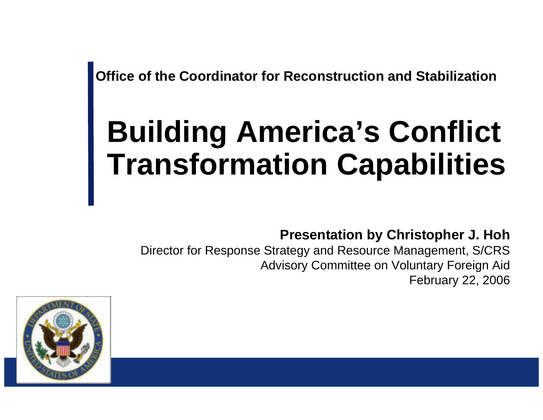**Office of the Coordinator for Reconstruction and Stabilization** 

# **Building America's Conflict Transformation Capabilities**

**Presentation by Christopher J. Hoh** 

Director for Response Strategy and Resource Management, S/CRS Advisory Committee on Voluntary Foreign Aid February 22, 2006

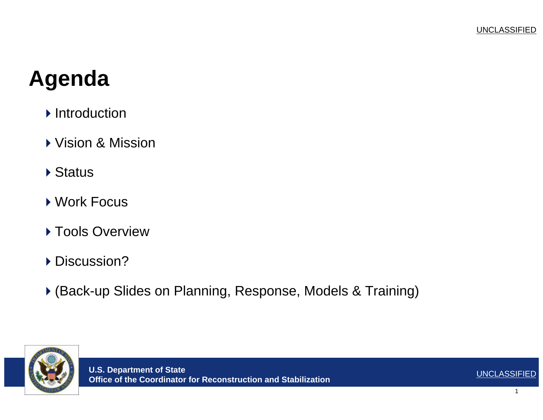#### **Agenda**

- $\blacktriangleright$  Introduction
- Vision & Mission
- ▶ Status
- ▶ Work Focus
- ▶ Tools Overview
- ▶ Discussion?
- (Back-up Slides on Planning, Response, Models & Training)

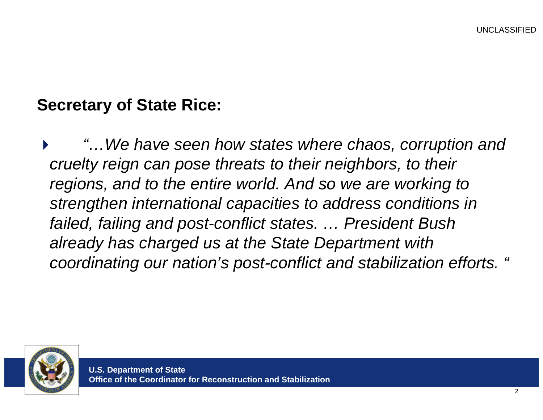#### **Secretary of State Rice:**

• *"…We have seen how states where chaos, corruption and cruelty reign can pose threats to their neighbors, to their regions, and to the entire world. And so we are working to strengthen international capacities to address conditions in failed, failing and post-conflict states. … President Bush already has charged us at the State Department with coordinating our nation's post-conflict and stabilization efforts. "* 

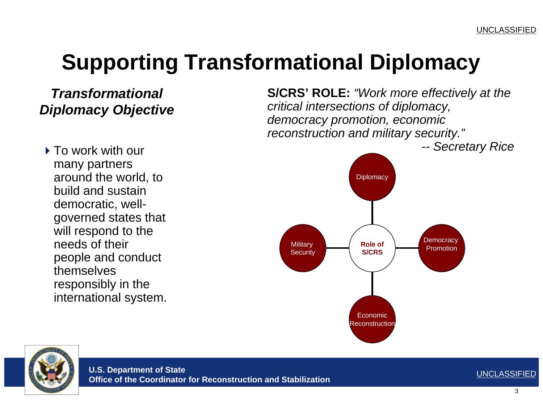### **Supporting Transformational Diplomacy**

#### *Transformational Diplomacy Objective*

▶ To work with our many partners around the world, to build and sustain democratic, wellgoverned states that will respond to the needs of their people and conduct themselves responsibly in the international system. **S/CRS' ROLE:** *"Work more effectively at the critical intersections of diplomacy, democracy promotion, economic reconstruction and military security."*



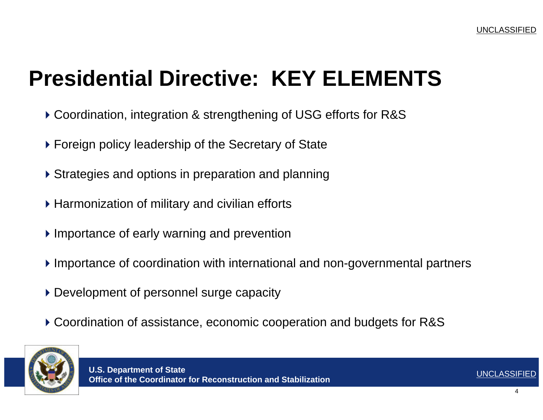#### **Presidential Directive: KEY ELEMENTS**

- Coordination, integration & strengthening of USG efforts for R&S
- Foreign policy leadership of the Secretary of State
- Strategies and options in preparation and planning
- ▶ Harmonization of military and civilian efforts
- ▶ Importance of early warning and prevention
- Importance of coordination with international and non-governmental partners
- Development of personnel surge capacity
- Coordination of assistance, economic cooperation and budgets for R&S

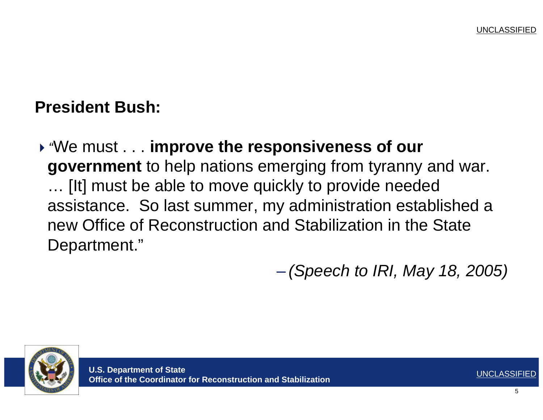#### **President Bush:**

*"*We must . . . **improve the responsiveness of our government** to help nations emerging from tyranny and war. … [It] must be able to move quickly to provide needed assistance. So last summer, my administration established a new Office of Reconstruction and Stabilization in the State Department."

– *(Speech to IRI, May 18, 2005)* 



**U.S. Department of State O.S. Department of State**<br>Office of the Coordinator for Reconstruction and Stabilization **UNCLASSIFIED**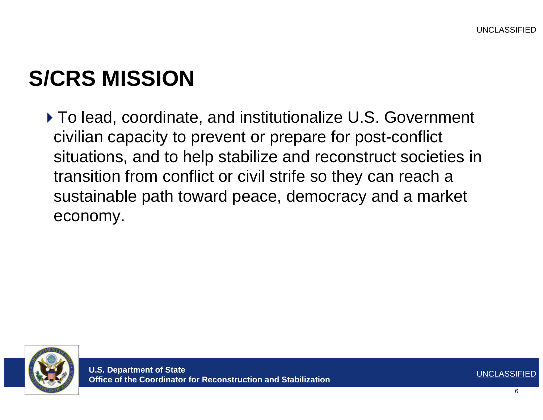# **S/CRS MISSION**

▶ To lead, coordinate, and institutionalize U.S. Government civilian capacity to prevent or prepare for post-conflict situations, and to help stabilize and reconstruct societies in transition from conflict or civil strife so they can reach a sustainable path toward peace, democracy and a market economy.

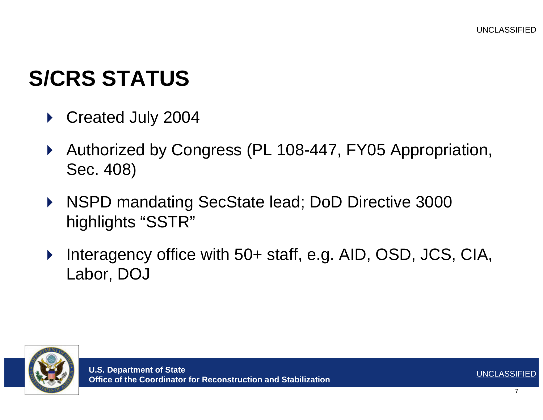## **S/CRS STATUS**

- ▶ Created July 2004
- Authorized by Congress (PL 108-447, FY05 Appropriation, Sec. 408)
- NSPD mandating SecState lead; DoD Directive 3000 highlights "SSTR"
- Interagency office with 50+ staff, e.g. AID, OSD, JCS, CIA, Labor, DOJ

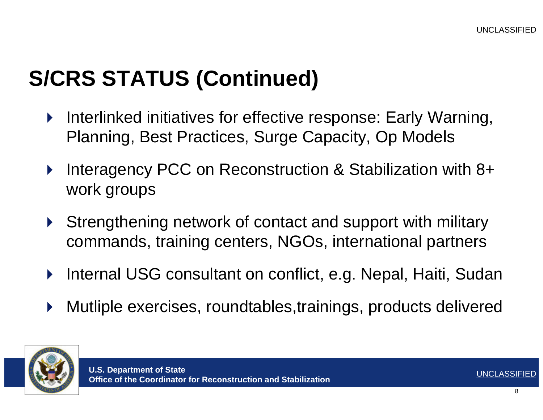# **S/CRS STATUS (Continued)**

- Interlinked initiatives f or eff ective response: Early Warning, Planning, Best Practices, Surge Capacity, Op Models
- Interagency PCC on Reconstruction & Stabilization with 8+ work groups
- Strengthening network of contact and support with military commands, training centers, NGOs, international partners
- Internal USG consultant on conflict, e.g. Nepal, Haiti, Sudan
- Mutliple exercises, roundtables,trainings, products delivered

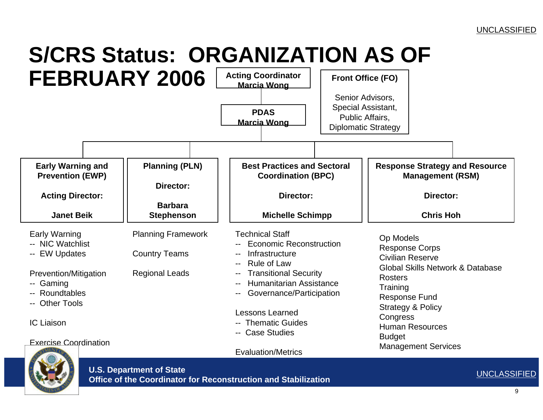# **S/CRS Status: ORGANIZATION AS OF**





**U.S. Department of State** 

**Office of the Coordinator for Reconstruction and Stabilization** UNCLASSIFIED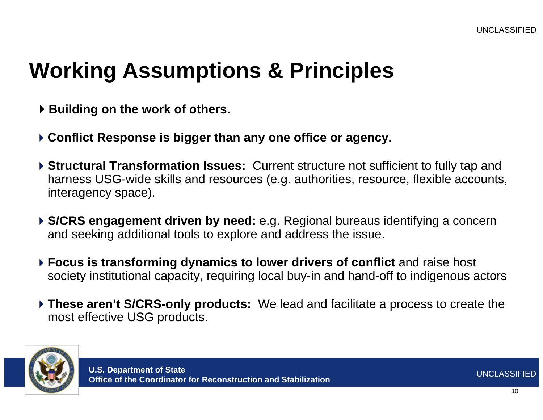#### **Working Assumptions & Principles**

- **▶ Building on the work of others.**
- **Conflict Response is bigger than any one office or agency.**
- **Structural Transformation Issues:** Current structure not sufficient to fully tap and harness USG-wide skills and resources (e.g. authorities, resource, flexible accounts, interagency space).
- **S/CRS engagement driven by need:** e.g. Regional bureaus identifying a concern and seeking additional tools to explore and address the issue.
- **Focus is transforming dynamics to lower drivers of conflict** and raise host society institutional capacity, requiring local buy-in and hand-off to indigenous actors
- **These aren't S/CRS-only products:** We lead and facilitate a process to create the most effective USG products.

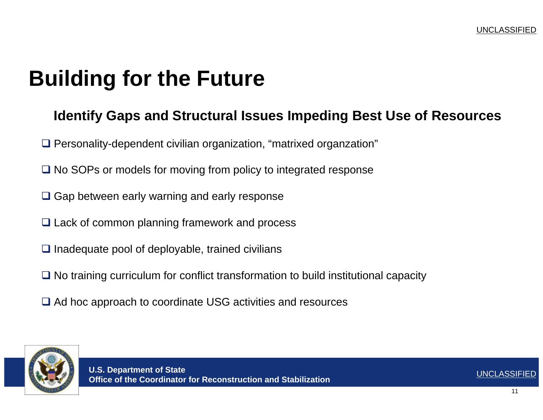#### **Building for the Future**

#### **Identify Gaps and Structural Issues Impeding Best Use of Resources**

- □ Personality-dependent civilian organization, "matrixed organzation"
- $\Box$  No SOPs or models for moving from policy to integrated response
- $\square$  Gap between early warning and early response
- **□ Lack of common planning framework and process**
- $\Box$  Inadequate pool of deployable, trained civilians
- No training curriculum for conflict transformation to build institutional capacity
- **□ Ad hoc approach to coordinate USG activities and resources**

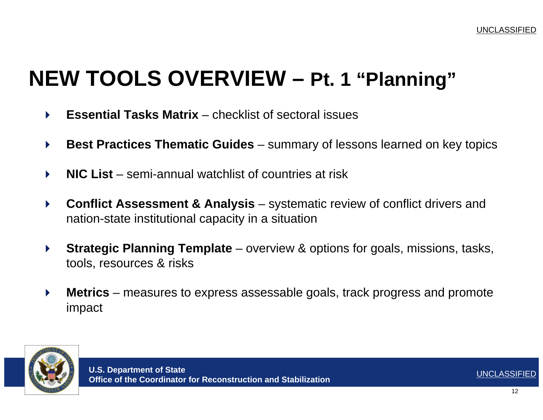### **NEW TOOLS OVERVIEW – Pt. 1 "Planning"**

- **Essential Tasks Matrix**  checklist of sectoral issues
- ▶ Best Practices Thematic Guides summary of lessons learned on key topics
- **NIC List** semi-annual watchlist of countries at risk
- **Conflict Assessment & Analysis**  systematic review of conflict drivers and nation-state institutional capacity in a situation
- **Strategic Planning Template**  overview & options for goals, missions, tasks, tools, resources & risks
- ▶ Metrics measures to express assessable goals, track progress and promote impact

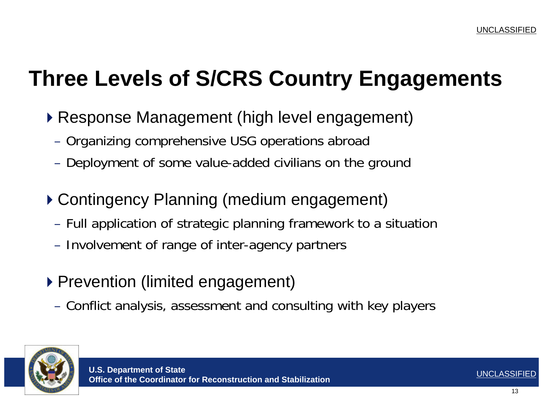### **Three Levels of S/CRS Country Engagements**

- Response Management (high level engagement)
	- Organizing comprehensive USG operations abroad
	- Deployment of some value-added civilians on the ground
- Contingency Planning (medium engagement)
	- Full application of strategic planning framework to a situation
	- Involvement of range of inter-agency partners
- ▶ Prevention (limited engagement)
	- Conflict analysis, assessment and consulting with key players

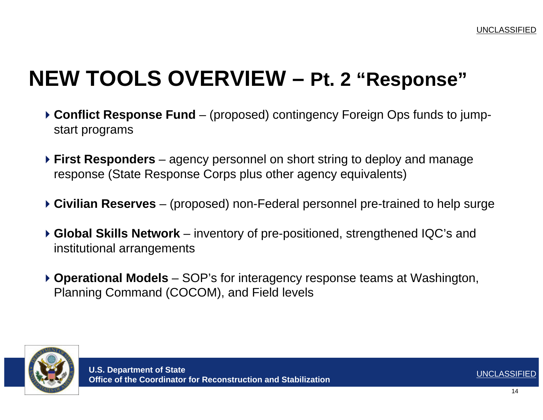### **NEW TOOLS OVERVIEW – Pt. 2 "Response"**

- **Conflict Response Fund**  (proposed) contingency Foreign Ops funds to jumpstart programs
- **First Responders**  agency personnel on short string to deploy and manage response (State Response Corps plus other agency equivalents)
- **Civilian Reserves**  (proposed) non-Federal personnel pre-trained to help surge
- **Global Skills Network**  inventory of pre-positioned, strengthened IQC's and institutional arrangements
- **Operational Models**  SOP's for interagency response teams at Washington, Planning Command (COCOM), and Field levels

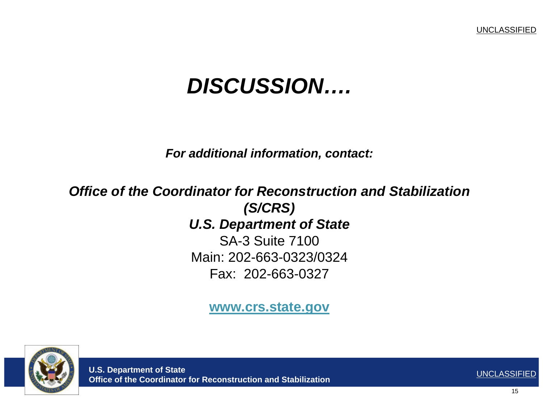#### *DISCUSSION….*

*For additional information, contact:* 

*Office of the Coordinator for Reconstruction and Stabilization (S/CRS) U.S. Department of State*

> SA-3 Suite 7100Main: 202-663-0323/0324 Fax: 202-663-0327

> > **www.crs.state.gov**

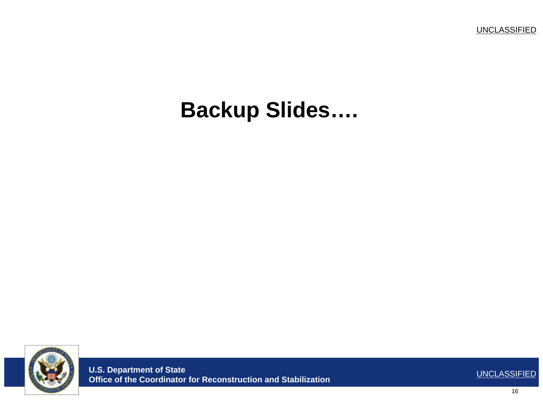**UNCLASSIFIED** 

#### **Backup Slides....**



**U.S. Department of State** Office of the Coordinator for Reconstruction and Stabilization

**UNCLASSIFIED**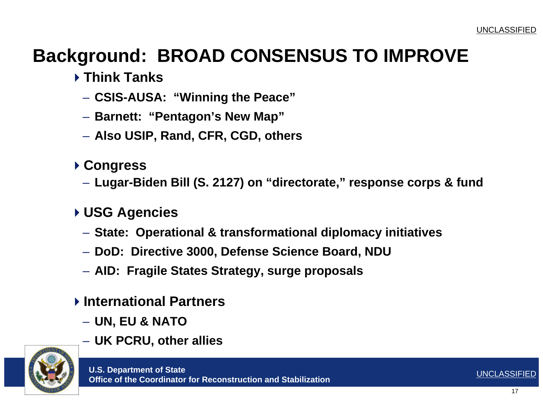#### **Background: BROAD CONSENSUS TO IMPROVE**

- **Think Tanks** 
	- **CSIS-AUSA: "Winning the Peace"**
	- **Barnett: "Pentagon's New Map"**
	- **Also USIP, Rand, CFR, CGD, others**
- **Congress** 
	- **Lugar-Biden Bill (S. 2127) on "directorate," response corps & fund**
- **USG Agencies** 
	- **State: Operational & transformational diplomacy initiatives**
	- **DoD: Directive 3000, Defense Science Board, NDU**
	- **AID: Fragile States Strategy, surge proposals**
- **International Partners** 
	- **UN, EU & NATO**
	- **UK PCRU, other allies**

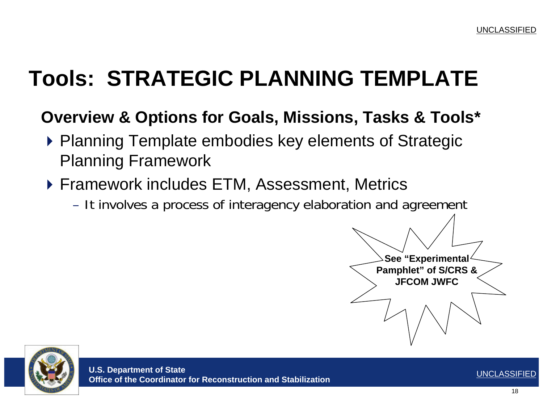# **Tools: STRATEGIC PLANNING TEMPLATE**

#### **Overview & Options for Goals, Missions, Tasks & Tools\***

- ▶ Planning Template embodies key elements of Strategic Planning Framework
- ▶ Framework includes ETM, Assessment, Metrics
	- It involves a process of interagency elaboration and agreement

**See "Experimental Pamphlet" of S/CRS & JFCOM JWFC** 

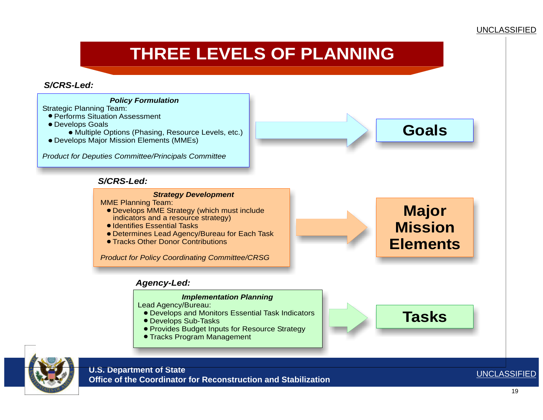#### UNCLASSIFIED

#### **THREE LEVELS OF PLANNING**

*S/CRS-Led:* 



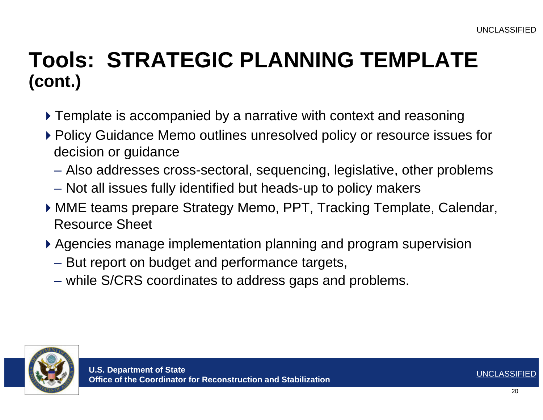#### **Tools: STRATEGIC PLANNING TEMPLATE (cont.)**

- Template is accompanied by a narrative with context and reasoning
- ▶ Policy Guidance Memo outlines unresolved policy or resource issues for decision or guidance
	- Also addresses cross-sectoral, sequencing, legislative, other problems
	- Not all issues fully identified but heads-up to policy makers
- MME teams prepare Strategy Memo, PPT, Tracking Template, Calendar, Resource Sheet
- Agencies manage implementation planning and program supervision
	- But report on budget and performance targets,
	- while S/CRS coordinates to address gaps and problems.

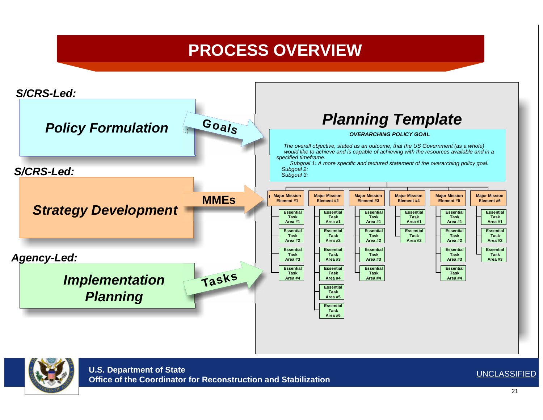#### **PROCESS OVERVIEW**



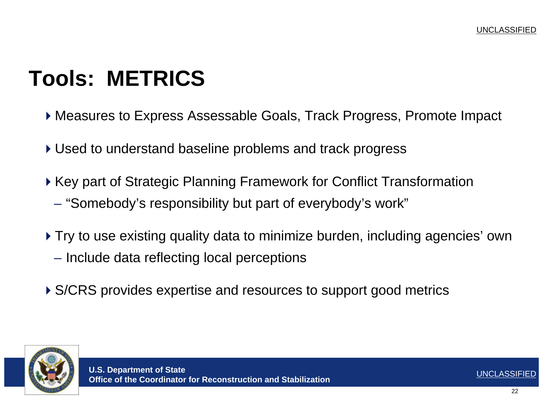## **Tools: METRICS**

- Measures to Express Assessable Goals, Track Progress, Promote Impact
- Used to understand baseline problems and track progress
- ▶ Key part of Strategic Planning Framework for Conflict Transformation
	- "Somebody's responsibility but part of everybody's work"
- Try to use existing quality data to minimize burden, including agencies' own
	- Include data reflecting local perceptions
- ▶ S/CRS provides expertise and resources to support good metrics

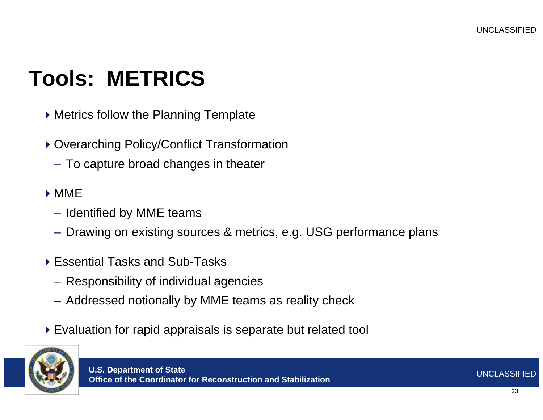## **Tools: METRICS**

- Metrics follow the Planning Template
- ▶ Overarching Policy/Conflict Transformation
	- To capture broad changes in theater
- MME
	- Identified by MME teams
	- Drawing on existing sources & metrics, e.g. USG performance plans
- ▶ Essential Tasks and Sub-Tasks
	- Responsibility of individual agencies
	- Addressed notionally by MME teams as reality check
- Evaluation for rapid appraisals is separate but related tool

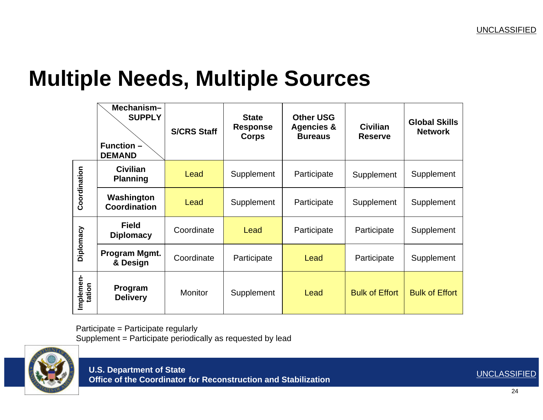#### **Multiple Needs, Multiple Sources**

|                     | Mechanism-<br><b>SUPPLY</b><br><b>Function -</b><br><b>DEMAND</b> | <b>S/CRS Staff</b> | <b>State</b><br><b>Response</b><br><b>Corps</b> | <b>Other USG</b><br><b>Agencies &amp;</b><br><b>Bureaus</b> | <b>Civilian</b><br><b>Reserve</b> | <b>Global Skills</b><br><b>Network</b> |
|---------------------|-------------------------------------------------------------------|--------------------|-------------------------------------------------|-------------------------------------------------------------|-----------------------------------|----------------------------------------|
| Coordination        | <b>Civilian</b><br><b>Planning</b>                                | Lead               | Supplement                                      | Participate                                                 | Supplement                        | Supplement                             |
|                     | Washington<br><b>Coordination</b>                                 | Lead               | Supplement                                      | Participate                                                 | Supplement                        | Supplement                             |
| Diplomacy           | <b>Field</b><br><b>Diplomacy</b>                                  | Coordinate         | Lead                                            | Participate                                                 | Participate                       | Supplement                             |
|                     | Program Mgmt.<br>& Design                                         | Coordinate         | Participate                                     | Lead                                                        | Participate                       | Supplement                             |
| Implemen-<br>tation | Program<br><b>Delivery</b>                                        | <b>Monitor</b>     | Supplement                                      | Lead                                                        | <b>Bulk of Effort</b>             | <b>Bulk of Effort</b>                  |

Participate = P articipate regularly Supplement = Participate periodically as requested by lead

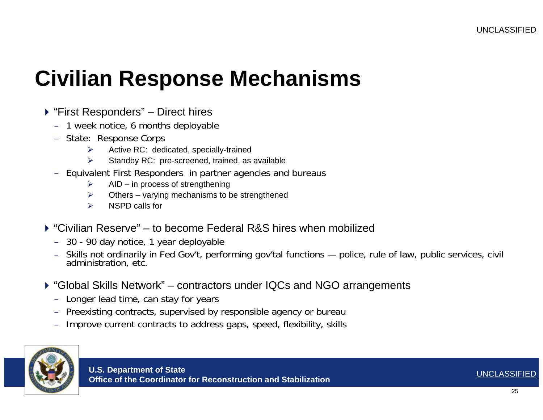#### **Civilian Response Mechanisms**

- ▶ "First Responders" Direct hires
	- 1 week notice, 6 months deplo yable
	- State: Response Corps
		- $\blacktriangleright$ Active RC: dedicated, speci ally-trained
		- $\blacktriangleright$ > Standby RC: pre-screened, trained, as available
	- Equivalent First Responders in partner agencies and bureaus
		- $\blacktriangleright$ AID – in process of strengthening
		- ¾ $\triangleright$  Others – varying mechanisms to be strengthened
		- $\triangleright$ NSPD calls for
- ▶ "Civilian Reserve" to become Federal R&S hires when mobilized
	- 30 90 d ay notice, 1 year d eplo yable
	- Skills not ordinarily in Fed G ov't, performing gov'tal functions police, rule of law, public services, civil administration, etc.
- "Global Skills Network" contractors under IQCs and NGO arrangements
	- Longer lead time, can stay for years
	- Preexisting contracts, s upervised by responsible agency or bureau
	- Improve current contracts to address gaps, speed, flexibility, skills